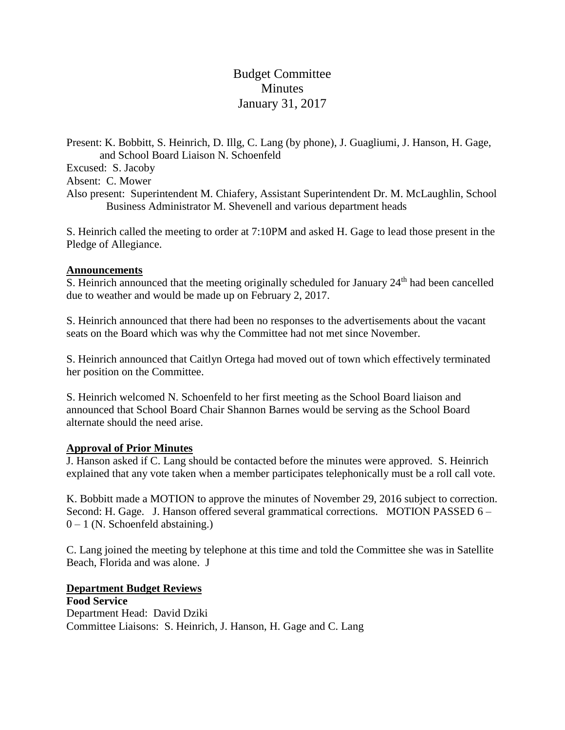# Budget Committee **Minutes** January 31, 2017

Present: K. Bobbitt, S. Heinrich, D. Illg, C. Lang (by phone), J. Guagliumi, J. Hanson, H. Gage, and School Board Liaison N. Schoenfeld

Excused: S. Jacoby

Absent: C. Mower

Also present: Superintendent M. Chiafery, Assistant Superintendent Dr. M. McLaughlin, School Business Administrator M. Shevenell and various department heads

S. Heinrich called the meeting to order at 7:10PM and asked H. Gage to lead those present in the Pledge of Allegiance.

#### **Announcements**

S. Heinrich announced that the meeting originally scheduled for January 24<sup>th</sup> had been cancelled due to weather and would be made up on February 2, 2017.

S. Heinrich announced that there had been no responses to the advertisements about the vacant seats on the Board which was why the Committee had not met since November.

S. Heinrich announced that Caitlyn Ortega had moved out of town which effectively terminated her position on the Committee.

S. Heinrich welcomed N. Schoenfeld to her first meeting as the School Board liaison and announced that School Board Chair Shannon Barnes would be serving as the School Board alternate should the need arise.

## **Approval of Prior Minutes**

J. Hanson asked if C. Lang should be contacted before the minutes were approved. S. Heinrich explained that any vote taken when a member participates telephonically must be a roll call vote.

K. Bobbitt made a MOTION to approve the minutes of November 29, 2016 subject to correction. Second: H. Gage. J. Hanson offered several grammatical corrections. MOTION PASSED 6 –  $0 - 1$  (N. Schoenfeld abstaining.)

C. Lang joined the meeting by telephone at this time and told the Committee she was in Satellite Beach, Florida and was alone. J

## **Department Budget Reviews**

**Food Service** Department Head: David Dziki Committee Liaisons: S. Heinrich, J. Hanson, H. Gage and C. Lang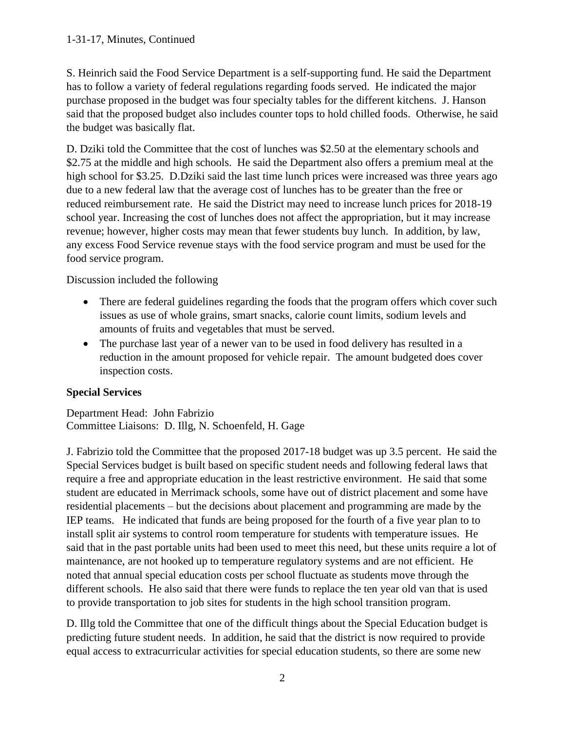S. Heinrich said the Food Service Department is a self-supporting fund. He said the Department has to follow a variety of federal regulations regarding foods served. He indicated the major purchase proposed in the budget was four specialty tables for the different kitchens. J. Hanson said that the proposed budget also includes counter tops to hold chilled foods. Otherwise, he said the budget was basically flat.

D. Dziki told the Committee that the cost of lunches was \$2.50 at the elementary schools and \$2.75 at the middle and high schools. He said the Department also offers a premium meal at the high school for \$3.25. D.Dziki said the last time lunch prices were increased was three years ago due to a new federal law that the average cost of lunches has to be greater than the free or reduced reimbursement rate. He said the District may need to increase lunch prices for 2018-19 school year. Increasing the cost of lunches does not affect the appropriation, but it may increase revenue; however, higher costs may mean that fewer students buy lunch. In addition, by law, any excess Food Service revenue stays with the food service program and must be used for the food service program.

Discussion included the following

- There are federal guidelines regarding the foods that the program offers which cover such issues as use of whole grains, smart snacks, calorie count limits, sodium levels and amounts of fruits and vegetables that must be served.
- The purchase last year of a newer van to be used in food delivery has resulted in a reduction in the amount proposed for vehicle repair. The amount budgeted does cover inspection costs.

# **Special Services**

Department Head: John Fabrizio Committee Liaisons: D. Illg, N. Schoenfeld, H. Gage

J. Fabrizio told the Committee that the proposed 2017-18 budget was up 3.5 percent. He said the Special Services budget is built based on specific student needs and following federal laws that require a free and appropriate education in the least restrictive environment. He said that some student are educated in Merrimack schools, some have out of district placement and some have residential placements – but the decisions about placement and programming are made by the IEP teams. He indicated that funds are being proposed for the fourth of a five year plan to to install split air systems to control room temperature for students with temperature issues. He said that in the past portable units had been used to meet this need, but these units require a lot of maintenance, are not hooked up to temperature regulatory systems and are not efficient. He noted that annual special education costs per school fluctuate as students move through the different schools. He also said that there were funds to replace the ten year old van that is used to provide transportation to job sites for students in the high school transition program.

D. Illg told the Committee that one of the difficult things about the Special Education budget is predicting future student needs. In addition, he said that the district is now required to provide equal access to extracurricular activities for special education students, so there are some new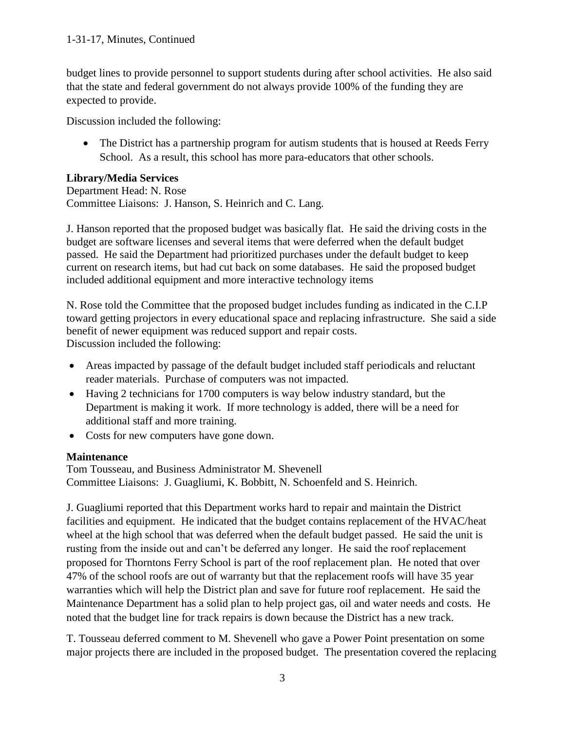budget lines to provide personnel to support students during after school activities. He also said that the state and federal government do not always provide 100% of the funding they are expected to provide.

Discussion included the following:

• The District has a partnership program for autism students that is housed at Reeds Ferry School. As a result, this school has more para-educators that other schools.

## **Library/Media Services**

Department Head: N. Rose Committee Liaisons: J. Hanson, S. Heinrich and C. Lang.

J. Hanson reported that the proposed budget was basically flat. He said the driving costs in the budget are software licenses and several items that were deferred when the default budget passed. He said the Department had prioritized purchases under the default budget to keep current on research items, but had cut back on some databases. He said the proposed budget included additional equipment and more interactive technology items

N. Rose told the Committee that the proposed budget includes funding as indicated in the C.I.P toward getting projectors in every educational space and replacing infrastructure. She said a side benefit of newer equipment was reduced support and repair costs. Discussion included the following:

- Areas impacted by passage of the default budget included staff periodicals and reluctant reader materials. Purchase of computers was not impacted.
- Having 2 technicians for 1700 computers is way below industry standard, but the Department is making it work. If more technology is added, there will be a need for additional staff and more training.
- Costs for new computers have gone down.

## **Maintenance**

Tom Tousseau, and Business Administrator M. Shevenell Committee Liaisons: J. Guagliumi, K. Bobbitt, N. Schoenfeld and S. Heinrich.

J. Guagliumi reported that this Department works hard to repair and maintain the District facilities and equipment. He indicated that the budget contains replacement of the HVAC/heat wheel at the high school that was deferred when the default budget passed. He said the unit is rusting from the inside out and can't be deferred any longer. He said the roof replacement proposed for Thorntons Ferry School is part of the roof replacement plan. He noted that over 47% of the school roofs are out of warranty but that the replacement roofs will have 35 year warranties which will help the District plan and save for future roof replacement. He said the Maintenance Department has a solid plan to help project gas, oil and water needs and costs. He noted that the budget line for track repairs is down because the District has a new track.

T. Tousseau deferred comment to M. Shevenell who gave a Power Point presentation on some major projects there are included in the proposed budget. The presentation covered the replacing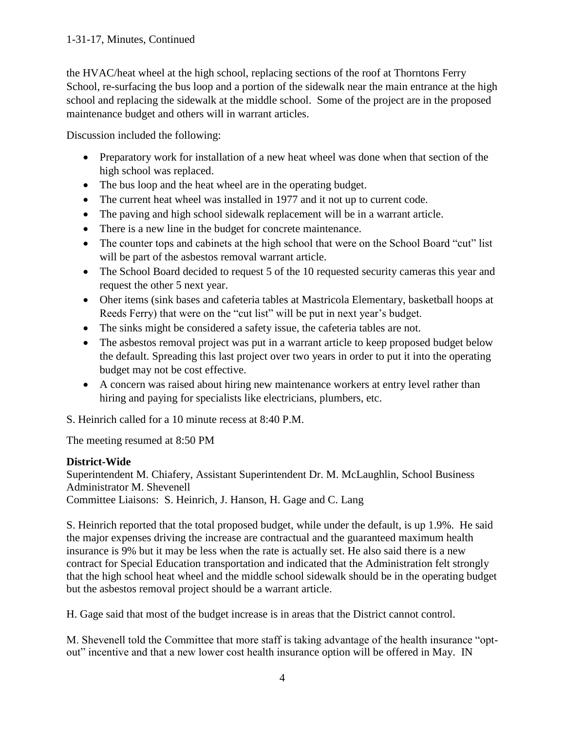the HVAC/heat wheel at the high school, replacing sections of the roof at Thorntons Ferry School, re-surfacing the bus loop and a portion of the sidewalk near the main entrance at the high school and replacing the sidewalk at the middle school. Some of the project are in the proposed maintenance budget and others will in warrant articles.

Discussion included the following:

- Preparatory work for installation of a new heat wheel was done when that section of the high school was replaced.
- The bus loop and the heat wheel are in the operating budget.
- The current heat wheel was installed in 1977 and it not up to current code.
- The paving and high school sidewalk replacement will be in a warrant article.
- There is a new line in the budget for concrete maintenance.
- The counter tops and cabinets at the high school that were on the School Board "cut" list will be part of the asbestos removal warrant article.
- The School Board decided to request 5 of the 10 requested security cameras this year and request the other 5 next year.
- Oher items (sink bases and cafeteria tables at Mastricola Elementary, basketball hoops at Reeds Ferry) that were on the "cut list" will be put in next year's budget.
- The sinks might be considered a safety issue, the cafeteria tables are not.
- The asbestos removal project was put in a warrant article to keep proposed budget below the default. Spreading this last project over two years in order to put it into the operating budget may not be cost effective.
- A concern was raised about hiring new maintenance workers at entry level rather than hiring and paying for specialists like electricians, plumbers, etc.

S. Heinrich called for a 10 minute recess at 8:40 P.M.

The meeting resumed at 8:50 PM

## **District-Wide**

Superintendent M. Chiafery, Assistant Superintendent Dr. M. McLaughlin, School Business Administrator M. Shevenell Committee Liaisons: S. Heinrich, J. Hanson, H. Gage and C. Lang

S. Heinrich reported that the total proposed budget, while under the default, is up 1.9%. He said the major expenses driving the increase are contractual and the guaranteed maximum health insurance is 9% but it may be less when the rate is actually set. He also said there is a new contract for Special Education transportation and indicated that the Administration felt strongly that the high school heat wheel and the middle school sidewalk should be in the operating budget but the asbestos removal project should be a warrant article.

H. Gage said that most of the budget increase is in areas that the District cannot control.

M. Shevenell told the Committee that more staff is taking advantage of the health insurance "optout" incentive and that a new lower cost health insurance option will be offered in May. IN